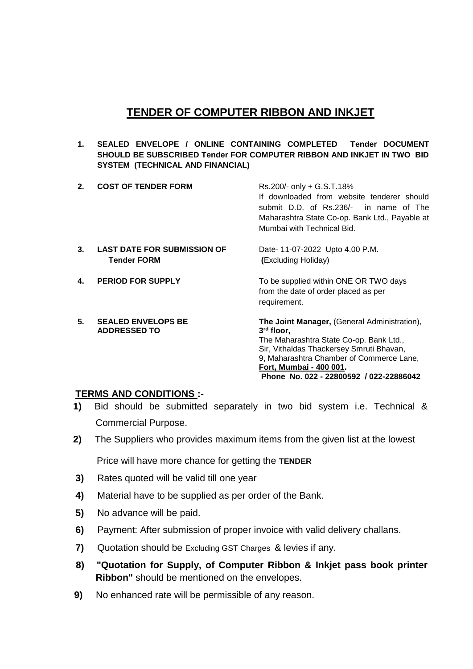# **TENDER OF COMPUTER RIBBON AND INKJET**

**1. SEALED ENVELOPE / ONLINE CONTAINING COMPLETED Tender DOCUMENT SHOULD BE SUBSCRIBED Tender FOR COMPUTER RIBBON AND INKJET IN TWO BID SYSTEM (TECHNICAL AND FINANCIAL)**

| 2. | <b>COST OF TENDER FORM</b>                               | Rs.200/- only + G.S.T.18%<br>If downloaded from website tenderer should<br>submit D.D. of Rs.236/- in name of The<br>Maharashtra State Co-op. Bank Ltd., Payable at<br>Mumbai with Technical Bid.                                                                                      |
|----|----------------------------------------------------------|----------------------------------------------------------------------------------------------------------------------------------------------------------------------------------------------------------------------------------------------------------------------------------------|
| 3. | <b>LAST DATE FOR SUBMISSION OF</b><br><b>Tender FORM</b> | Date- 11-07-2022 Upto 4.00 P.M.<br>(Excluding Holiday)                                                                                                                                                                                                                                 |
| 4. | <b>PERIOD FOR SUPPLY</b>                                 | To be supplied within ONE OR TWO days<br>from the date of order placed as per<br>requirement.                                                                                                                                                                                          |
| 5. | <b>SEALED ENVELOPS BE</b><br><b>ADDRESSED TO</b>         | <b>The Joint Manager, (General Administration),</b><br>3 <sup>rd</sup> floor,<br>The Maharashtra State Co-op. Bank Ltd.,<br>Sir, Vithaldas Thackersey Smruti Bhavan,<br>9, Maharashtra Chamber of Commerce Lane,<br>Fort, Mumbai - 400 001.<br>Phone No. 022 - 22800592 / 022-22886042 |

### **TERMS AND CONDITIONS :-**

- **1)** Bid should be submitted separately in two bid system i.e. Technical & Commercial Purpose.
- **2)** The Suppliers who provides maximum items from the given list at the lowest

Price will have more chance for getting the **TENDER** 

- **3)** Rates quoted will be valid till one year
- **4)** Material have to be supplied as per order of the Bank.
- **5)** No advance will be paid.
- **6)** Payment: After submission of proper invoice with valid delivery challans.
- **7)** Quotation should be Excluding GST Charges & levies if any.
- **8) "Quotation for Supply, of Computer Ribbon & Inkjet pass book printer Ribbon"** should be mentioned on the envelopes.
- **9)** No enhanced rate will be permissible of any reason.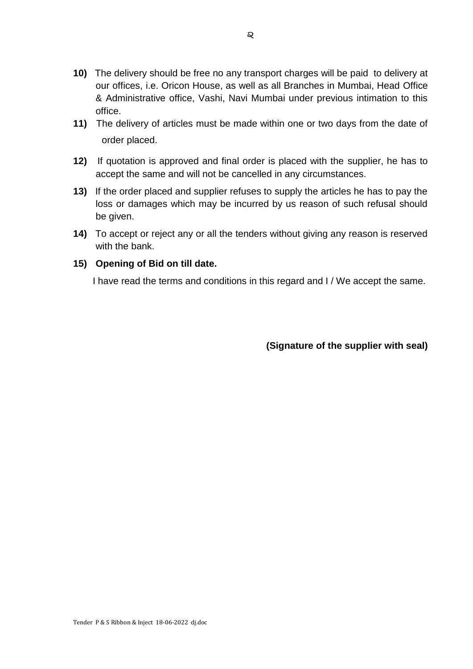- **10)** The delivery should be free no any transport charges will be paid to delivery at our offices, i.e. Oricon House, as well as all Branches in Mumbai, Head Office & Administrative office, Vashi, Navi Mumbai under previous intimation to this office.
- **11)** The delivery of articles must be made within one or two days from the date of order placed.
- **12)** If quotation is approved and final order is placed with the supplier, he has to accept the same and will not be cancelled in any circumstances.
- **13)** If the order placed and supplier refuses to supply the articles he has to pay the loss or damages which may be incurred by us reason of such refusal should be given.
- **14)** To accept or reject any or all the tenders without giving any reason is reserved with the bank.

#### **15) Opening of Bid on till date.**

I have read the terms and conditions in this regard and I / We accept the same.

**(Signature of the supplier with seal)**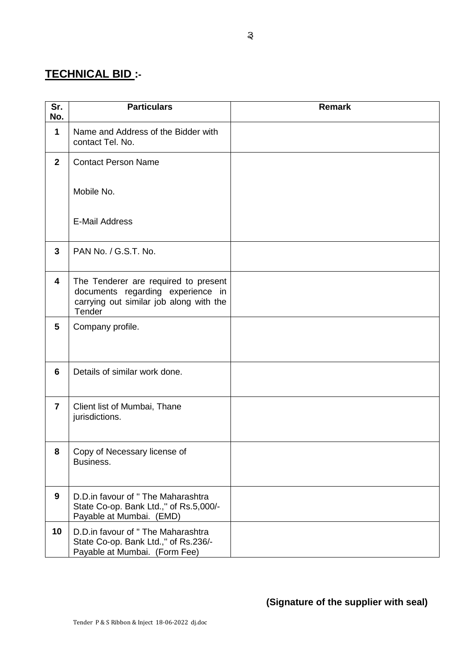# **TECHNICAL BID :-**

| Sr.<br>No.     | <b>Particulars</b>                                                                                                             | <b>Remark</b> |
|----------------|--------------------------------------------------------------------------------------------------------------------------------|---------------|
| $\mathbf 1$    | Name and Address of the Bidder with<br>contact Tel. No.                                                                        |               |
| $\overline{2}$ | <b>Contact Person Name</b>                                                                                                     |               |
|                | Mobile No.                                                                                                                     |               |
|                | <b>E-Mail Address</b>                                                                                                          |               |
| 3              | PAN No. / G.S.T. No.                                                                                                           |               |
| 4              | The Tenderer are required to present<br>documents regarding experience in<br>carrying out similar job along with the<br>Tender |               |
| 5              | Company profile.                                                                                                               |               |
| 6              | Details of similar work done.                                                                                                  |               |
| $\overline{7}$ | Client list of Mumbai, Thane<br>jurisdictions.                                                                                 |               |
| 8              | Copy of Necessary license of<br>Business.                                                                                      |               |
| $\mathbf{9}$   | D.D.in favour of " The Maharashtra<br>State Co-op. Bank Ltd.," of Rs.5,000/-<br>Payable at Mumbai. (EMD)                       |               |
| 10             | D.D.in favour of " The Maharashtra<br>State Co-op. Bank Ltd.," of Rs.236/-<br>Payable at Mumbai. (Form Fee)                    |               |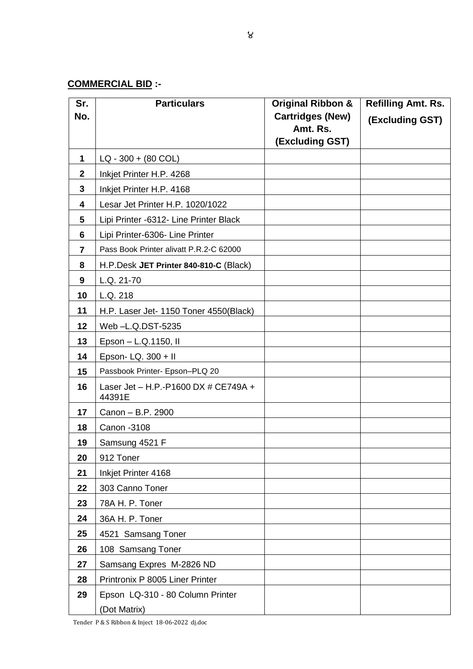## **COMMERCIAL BID :-**

| Sr.             | <b>Particulars</b>                             | <b>Original Ribbon &amp;</b> | <b>Refilling Amt. Rs.</b> |
|-----------------|------------------------------------------------|------------------------------|---------------------------|
| No.             |                                                | <b>Cartridges (New)</b>      | (Excluding GST)           |
|                 |                                                | Amt. Rs.<br>(Excluding GST)  |                           |
|                 |                                                |                              |                           |
| 1               | $LQ - 300 + (80 COL)$                          |                              |                           |
| $\mathbf{2}$    | Inkjet Printer H.P. 4268                       |                              |                           |
| $\mathbf{3}$    | Inkjet Printer H.P. 4168                       |                              |                           |
| 4               | Lesar Jet Printer H.P. 1020/1022               |                              |                           |
| $5\phantom{.0}$ | Lipi Printer -6312- Line Printer Black         |                              |                           |
| 6               | Lipi Printer-6306- Line Printer                |                              |                           |
| 7               | Pass Book Printer alivatt P.R.2-C 62000        |                              |                           |
| 8               | H.P.Desk JET Printer 840-810-C (Black)         |                              |                           |
| 9               | L.Q. 21-70                                     |                              |                           |
| 10              | L.Q. 218                                       |                              |                           |
| 11              | H.P. Laser Jet- 1150 Toner 4550(Black)         |                              |                           |
| 12              | Web-L.Q.DST-5235                               |                              |                           |
| 13              | Epson - L.Q.1150, II                           |                              |                           |
| 14              | Epson- LQ. 300 + II                            |                              |                           |
| 15              | Passbook Printer- Epson-PLQ 20                 |                              |                           |
| 16              | Laser Jet - H.P.-P1600 DX # CE749A +<br>44391E |                              |                           |
| 17              | Canon - B.P. 2900                              |                              |                           |
| 18              | Canon - 3108                                   |                              |                           |
| 19              | Samsung 4521 F                                 |                              |                           |
| 20              | 912 Toner                                      |                              |                           |
| 21              | Inkjet Printer 4168                            |                              |                           |
| 22              | 303 Canno Toner                                |                              |                           |
| 23              | 78A H. P. Toner                                |                              |                           |
| 24              | 36A H. P. Toner                                |                              |                           |
| 25              | 4521 Samsang Toner                             |                              |                           |
| 26              | 108 Samsang Toner                              |                              |                           |
| 27              | Samsang Expres M-2826 ND                       |                              |                           |
| 28              | Printronix P 8005 Liner Printer                |                              |                           |
| 29              | Epson LQ-310 - 80 Column Printer               |                              |                           |
|                 | (Dot Matrix)                                   |                              |                           |